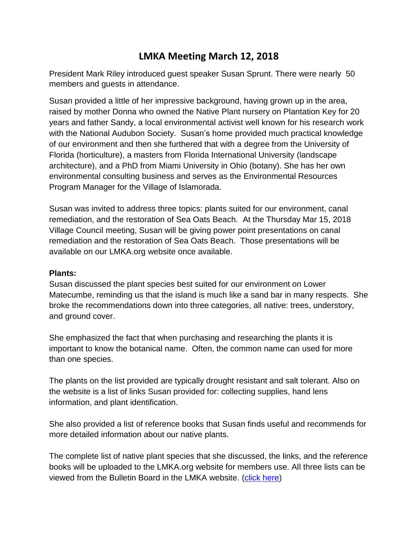# **LMKA Meeting March 12, 2018**

President Mark Riley introduced guest speaker Susan Sprunt. There were nearly 50 members and guests in attendance.

Susan provided a little of her impressive background, having grown up in the area, raised by mother Donna who owned the Native Plant nursery on Plantation Key for 20 years and father Sandy, a local environmental activist well known for his research work with the National Audubon Society. Susan's home provided much practical knowledge of our environment and then she furthered that with a degree from the University of Florida (horticulture), a masters from Florida International University (landscape architecture), and a PhD from Miami University in Ohio (botany). She has her own environmental consulting business and serves as the Environmental Resources Program Manager for the Village of Islamorada.

Susan was invited to address three topics: plants suited for our environment, canal remediation, and the restoration of Sea Oats Beach. At the Thursday Mar 15, 2018 Village Council meeting, Susan will be giving power point presentations on canal remediation and the restoration of Sea Oats Beach. Those presentations will be available on our LMKA.org website once available.

# **Plants:**

Susan discussed the plant species best suited for our environment on Lower Matecumbe, reminding us that the island is much like a sand bar in many respects. She broke the recommendations down into three categories, all native: trees, understory, and ground cover.

She emphasized the fact that when purchasing and researching the plants it is important to know the botanical name. Often, the common name can used for more than one species.

The plants on the list provided are typically drought resistant and salt tolerant. Also on the website is a list of links Susan provided for: collecting supplies, hand lens information, and plant identification.

She also provided a list of reference books that Susan finds useful and recommends for more detailed information about our native plants.

The complete list of native plant species that she discussed, the links, and the reference books will be uploaded to the LMKA.org website for members use. All three lists can be viewed from the Bulletin Board in the LMKA website. [\(click here\)](http://www.lmka.org/bulletin-board.html)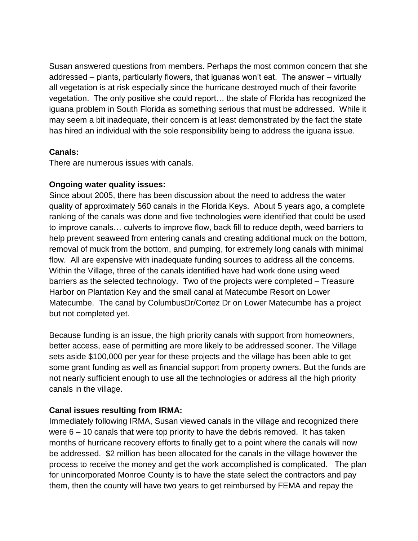Susan answered questions from members. Perhaps the most common concern that she addressed – plants, particularly flowers, that iguanas won't eat. The answer – virtually all vegetation is at risk especially since the hurricane destroyed much of their favorite vegetation. The only positive she could report… the state of Florida has recognized the iguana problem in South Florida as something serious that must be addressed. While it may seem a bit inadequate, their concern is at least demonstrated by the fact the state has hired an individual with the sole responsibility being to address the iguana issue.

# **Canals:**

There are numerous issues with canals.

# **Ongoing water quality issues:**

Since about 2005, there has been discussion about the need to address the water quality of approximately 560 canals in the Florida Keys. About 5 years ago, a complete ranking of the canals was done and five technologies were identified that could be used to improve canals… culverts to improve flow, back fill to reduce depth, weed barriers to help prevent seaweed from entering canals and creating additional muck on the bottom, removal of muck from the bottom, and pumping, for extremely long canals with minimal flow. All are expensive with inadequate funding sources to address all the concerns. Within the Village, three of the canals identified have had work done using weed barriers as the selected technology. Two of the projects were completed – Treasure Harbor on Plantation Key and the small canal at Matecumbe Resort on Lower Matecumbe. The canal by ColumbusDr/Cortez Dr on Lower Matecumbe has a project but not completed yet.

Because funding is an issue, the high priority canals with support from homeowners, better access, ease of permitting are more likely to be addressed sooner. The Village sets aside \$100,000 per year for these projects and the village has been able to get some grant funding as well as financial support from property owners. But the funds are not nearly sufficient enough to use all the technologies or address all the high priority canals in the village.

# **Canal issues resulting from IRMA:**

Immediately following IRMA, Susan viewed canals in the village and recognized there were 6 – 10 canals that were top priority to have the debris removed. It has taken months of hurricane recovery efforts to finally get to a point where the canals will now be addressed. \$2 million has been allocated for the canals in the village however the process to receive the money and get the work accomplished is complicated. The plan for unincorporated Monroe County is to have the state select the contractors and pay them, then the county will have two years to get reimbursed by FEMA and repay the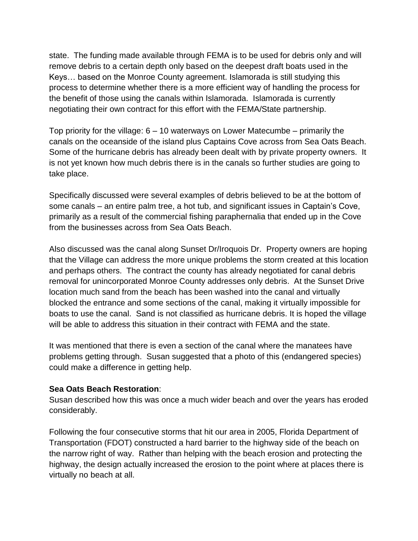state. The funding made available through FEMA is to be used for debris only and will remove debris to a certain depth only based on the deepest draft boats used in the Keys… based on the Monroe County agreement. Islamorada is still studying this process to determine whether there is a more efficient way of handling the process for the benefit of those using the canals within Islamorada. Islamorada is currently negotiating their own contract for this effort with the FEMA/State partnership.

Top priority for the village: 6 – 10 waterways on Lower Matecumbe – primarily the canals on the oceanside of the island plus Captains Cove across from Sea Oats Beach. Some of the hurricane debris has already been dealt with by private property owners. It is not yet known how much debris there is in the canals so further studies are going to take place.

Specifically discussed were several examples of debris believed to be at the bottom of some canals – an entire palm tree, a hot tub, and significant issues in Captain's Cove, primarily as a result of the commercial fishing paraphernalia that ended up in the Cove from the businesses across from Sea Oats Beach.

Also discussed was the canal along Sunset Dr/Iroquois Dr. Property owners are hoping that the Village can address the more unique problems the storm created at this location and perhaps others. The contract the county has already negotiated for canal debris removal for unincorporated Monroe County addresses only debris. At the Sunset Drive location much sand from the beach has been washed into the canal and virtually blocked the entrance and some sections of the canal, making it virtually impossible for boats to use the canal. Sand is not classified as hurricane debris. It is hoped the village will be able to address this situation in their contract with FEMA and the state.

It was mentioned that there is even a section of the canal where the manatees have problems getting through. Susan suggested that a photo of this (endangered species) could make a difference in getting help.

#### **Sea Oats Beach Restoration**:

Susan described how this was once a much wider beach and over the years has eroded considerably.

Following the four consecutive storms that hit our area in 2005, Florida Department of Transportation (FDOT) constructed a hard barrier to the highway side of the beach on the narrow right of way. Rather than helping with the beach erosion and protecting the highway, the design actually increased the erosion to the point where at places there is virtually no beach at all.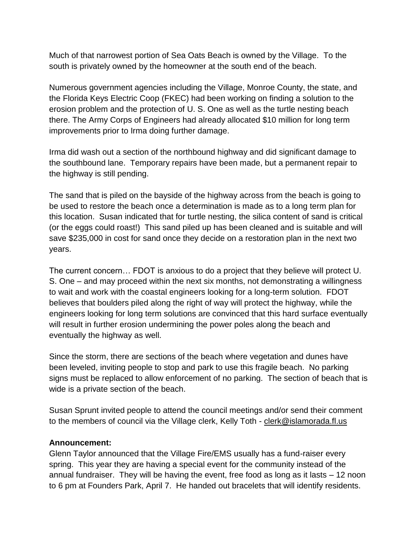Much of that narrowest portion of Sea Oats Beach is owned by the Village. To the south is privately owned by the homeowner at the south end of the beach.

Numerous government agencies including the Village, Monroe County, the state, and the Florida Keys Electric Coop (FKEC) had been working on finding a solution to the erosion problem and the protection of U. S. One as well as the turtle nesting beach there. The Army Corps of Engineers had already allocated \$10 million for long term improvements prior to Irma doing further damage.

Irma did wash out a section of the northbound highway and did significant damage to the southbound lane. Temporary repairs have been made, but a permanent repair to the highway is still pending.

The sand that is piled on the bayside of the highway across from the beach is going to be used to restore the beach once a determination is made as to a long term plan for this location. Susan indicated that for turtle nesting, the silica content of sand is critical (or the eggs could roast!) This sand piled up has been cleaned and is suitable and will save \$235,000 in cost for sand once they decide on a restoration plan in the next two years.

The current concern… FDOT is anxious to do a project that they believe will protect U. S. One – and may proceed within the next six months, not demonstrating a willingness to wait and work with the coastal engineers looking for a long-term solution. FDOT believes that boulders piled along the right of way will protect the highway, while the engineers looking for long term solutions are convinced that this hard surface eventually will result in further erosion undermining the power poles along the beach and eventually the highway as well.

Since the storm, there are sections of the beach where vegetation and dunes have been leveled, inviting people to stop and park to use this fragile beach. No parking signs must be replaced to allow enforcement of no parking. The section of beach that is wide is a private section of the beach.

Susan Sprunt invited people to attend the council meetings and/or send their comment to the members of council via the Village clerk, Kelly Toth - [clerk@islamorada.fl.us](mailto:clerk@islamorada.fl.us)

#### **Announcement:**

Glenn Taylor announced that the Village Fire/EMS usually has a fund-raiser every spring. This year they are having a special event for the community instead of the annual fundraiser. They will be having the event, free food as long as it lasts – 12 noon to 6 pm at Founders Park, April 7. He handed out bracelets that will identify residents.